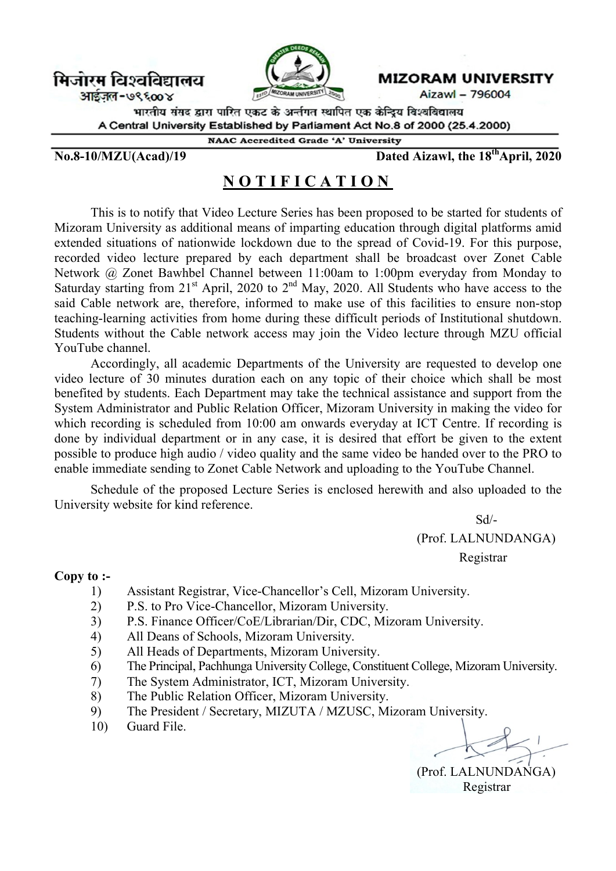मिजोरम विश्वविद्यालय

आईज़ल-७९६००४



**MIZORAM UNIVERSITY** 

Aizawl - 796004

भारतीय संसद द्वारा पारित एकट के अर्न्तगत स्थापित एक केन्द्रिय विश्वविद्यालय A Central University Established by Parliament Act No.8 of 2000 (25.4.2000)

**NAAC Accredited Grade 'A' University** 

 $N_0.8-10/MZU(Acad)/19$  Dated Aizawl, the  $18<sup>th</sup>$ April, 2020

## N O T I F I C A T I O N

This is to notify that Video Lecture Series has been proposed to be started for students of Mizoram University as additional means of imparting education through digital platforms amid extended situations of nationwide lockdown due to the spread of Covid-19. For this purpose, recorded video lecture prepared by each department shall be broadcast over Zonet Cable Network @ Zonet Bawhbel Channel between 11:00am to 1:00pm everyday from Monday to Saturday starting from  $21<sup>st</sup>$  April, 2020 to  $2<sup>nd</sup>$  May, 2020. All Students who have access to the said Cable network are, therefore, informed to make use of this facilities to ensure non-stop teaching-learning activities from home during these difficult periods of Institutional shutdown. Students without the Cable network access may join the Video lecture through MZU official YouTube channel.

Accordingly, all academic Departments of the University are requested to develop one video lecture of 30 minutes duration each on any topic of their choice which shall be most benefited by students. Each Department may take the technical assistance and support from the System Administrator and Public Relation Officer, Mizoram University in making the video for which recording is scheduled from 10:00 am onwards everyday at ICT Centre. If recording is done by individual department or in any case, it is desired that effort be given to the extent possible to produce high audio / video quality and the same video be handed over to the PRO to enable immediate sending to Zonet Cable Network and uploading to the YouTube Channel.

Schedule of the proposed Lecture Series is enclosed herewith and also uploaded to the University website for kind reference.

 Sd/- (Prof. LALNUNDANGA)

Registrar

## Copy to :-

- 1) Assistant Registrar, Vice-Chancellor's Cell, Mizoram University.
- 2) P.S. to Pro Vice-Chancellor, Mizoram University.
- 3) P.S. Finance Officer/CoE/Librarian/Dir, CDC, Mizoram University.
- 4) All Deans of Schools, Mizoram University.
- 5) All Heads of Departments, Mizoram University.
- 6) The Principal, Pachhunga University College, Constituent College, Mizoram University.
- 7) The System Administrator, ICT, Mizoram University.
- 8) The Public Relation Officer, Mizoram University.
- 9) The President / Secretary, MIZUTA / MZUSC, Mizoram University.
- 10) Guard File.

 (Prof. LALNUNDANGA) Registrar